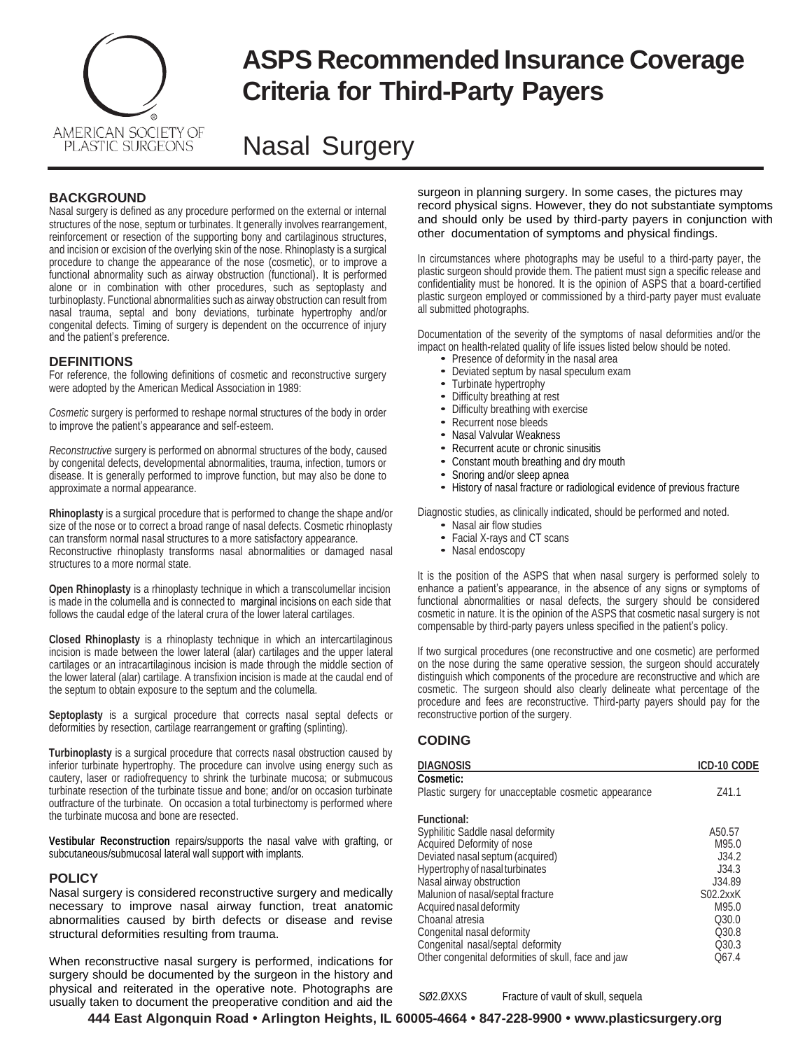

# **ASPS Recommended Insurance Coverage Criteria for Third-Party Payers**

## Nasal Surgery

## **BACKGROUND**

Nasal surgery is defined as any procedure performed on the external or internal structures of the nose, septum or turbinates. It generally involves rearrangement, reinforcement or resection of the supporting bony and cartilaginous structures, and incision or excision of the overlying skin of the nose. Rhinoplasty is a surgical procedure to change the appearance of the nose (cosmetic), or to improve a functional abnormality such as airway obstruction (functional). It is performed alone or in combination with other procedures, such as septoplasty and turbinoplasty. Functional abnormalities such as airway obstruction can result from nasal trauma, septal and bony deviations, turbinate hypertrophy and/or congenital defects. Timing of surgery is dependent on the occurrence of injury and the patient's preference.

## **DEFINITIONS**

For reference, the following definitions of cosmetic and reconstructive surgery were adopted by the American Medical Association in 1989:

*Cosmetic* surgery is performed to reshape normal structures of the body in order to improve the patient's appearance and self-esteem.

*Reconstructive* surgery is performed on abnormal structures of the body, caused by congenital defects, developmental abnormalities, trauma, infection, tumors or disease. It is generally performed to improve function, but may also be done to approximate a normal appearance.

**Rhinoplasty** is a surgical procedure that is performed to change the shape and/or size of the nose or to correct a broad range of nasal defects. Cosmetic rhinoplasty can transform normal nasal structures to a more satisfactory appearance. Reconstructive rhinoplasty transforms nasal abnormalities or damaged nasal structures to a more normal state.

**Open Rhinoplasty** is a rhinoplasty technique in which a transcolumellar incision is made in the columella and is connected to marginal incisions on each side that follows the caudal edge of the lateral crura of the lower lateral cartilages.

**Closed Rhinoplasty** is a rhinoplasty technique in which an intercartilaginous incision is made between the lower lateral (alar) cartilages and the upper lateral cartilages or an intracartilaginous incision is made through the middle section of the lower lateral (alar) cartilage. A transfixion incision is made at the caudal end of the septum to obtain exposure to the septum and the columella.

**Septoplasty** is a surgical procedure that corrects nasal septal defects or deformities by resection, cartilage rearrangement or grafting (splinting).

**Turbinoplasty** is a surgical procedure that corrects nasal obstruction caused by inferior turbinate hypertrophy. The procedure can involve using energy such as cautery, laser or radiofrequency to shrink the turbinate mucosa; or submucous turbinate resection of the turbinate tissue and bone; and/or on occasion turbinate outfracture of the turbinate. On occasion a total turbinectomy is performed where the turbinate mucosa and bone are resected.

**Vestibular Reconstruction** repairs/supports the nasal valve with grafting, or subcutaneous/submucosal lateral wall support with implants.

### **POLICY**

Nasal surgery is considered reconstructive surgery and medically necessary to improve nasal airway function, treat anatomic abnormalities caused by birth defects or disease and revise structural deformities resulting from trauma.

When reconstructive nasal surgery is performed, indications for surgery should be documented by the surgeon in the history and physical and reiterated in the operative note. Photographs are usually taken to document the preoperative condition and aid the surgeon in planning surgery. In some cases, the pictures may record physical signs. However, they do not substantiate symptoms and should only be used by third-party payers in conjunction with other documentation of symptoms and physical findings.

In circumstances where photographs may be useful to a third-party payer, the plastic surgeon should provide them. The patient must sign a specific release and confidentiality must be honored. It is the opinion of ASPS that a board-certified plastic surgeon employed or commissioned by a third-party payer must evaluate all submitted photographs.

Documentation of the severity of the symptoms of nasal deformities and/or the impact on health-related quality of life issues listed below should be noted.

- Presence of deformity in the nasal area
- Deviated septum by nasal speculum exam
- Turbinate hypertrophy
- Difficulty breathing at rest
- Difficulty breathing with exercise
- Recurrent nose bleeds • Nasal Valvular Weakness
- Recurrent acute or chronic sinusitis
- Constant mouth breathing and dry mouth
- Snoring and/or sleep apnea
- History of nasal fracture or radiological evidence of previous fracture

Diagnostic studies, as clinically indicated, should be performed and noted.

- Nasal air flow studies
- Facial X-rays and CT scans
- Nasal endoscopy

It is the position of the ASPS that when nasal surgery is performed solely to enhance a patient's appearance, in the absence of any signs or symptoms of functional abnormalities or nasal defects, the surgery should be considered cosmetic in nature. It is the opinion of the ASPS that cosmetic nasal surgery is not compensable by third-party payers unless specified in the patient's policy.

If two surgical procedures (one reconstructive and one cosmetic) are performed on the nose during the same operative session, the surgeon should accurately distinguish which components of the procedure are reconstructive and which are cosmetic. The surgeon should also clearly delineate what percentage of the procedure and fees are reconstructive. Third-party payers should pay for the reconstructive portion of the surgery.

## **CODING**

| DIAGNOSIS                                            | ICD-10 CODE |
|------------------------------------------------------|-------------|
| <b>Cosmetic:</b>                                     |             |
| Plastic surgery for unacceptable cosmetic appearance | Z41.1       |
| <b>Functional:</b>                                   |             |
| Syphilitic Saddle nasal deformity                    | A50.57      |
| Acquired Deformity of nose                           | M95.0       |
| Deviated nasal septum (acquired)                     | J34.2       |
| Hypertrophy of nasal turbinates                      | J34.3       |
| Nasal airway obstruction                             | J34.89      |
| Malunion of nasal/septal fracture                    | S02.2xxK    |
| Acquired nasal deformity                             | M95.0       |
| Choanal atresia                                      | Q30.0       |
| Congenital nasal deformity                           | Q30.8       |
| Congenital nasal/septal deformity                    | Q30.3       |
| Other congenital deformities of skull, face and jaw  | Q67.4       |

SØ2.ØXXS Fracture of vault of skull, sequela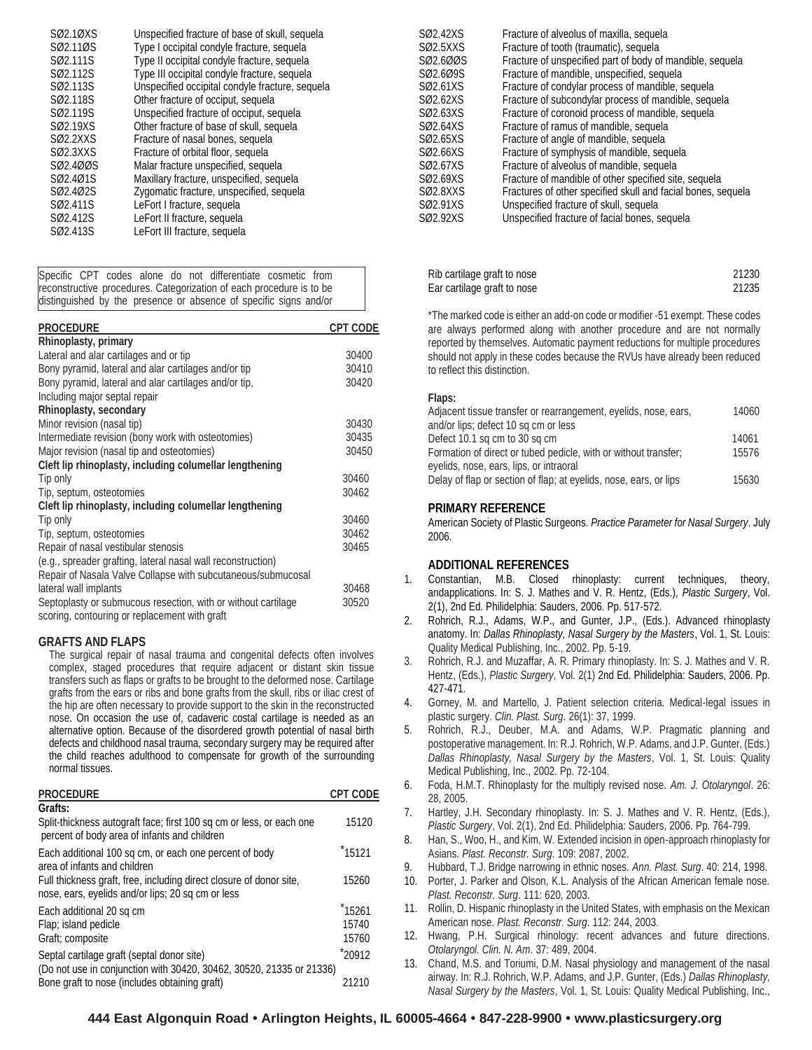| Unspecified fracture of base of skull, sequela  |
|-------------------------------------------------|
| Type I occipital condyle fracture, sequela      |
| Type II occipital condyle fracture, sequela     |
| Type III occipital condyle fracture, sequela    |
| Unspecified occipital condyle fracture, sequela |
| Other fracture of occiput, sequela              |
| Unspecified fracture of occiput, sequela        |
| Other fracture of base of skull, sequela        |
| Fracture of nasal bones, sequela                |
| Fracture of orbital floor, sequela              |
| Malar fracture unspecified, sequela             |
| Maxillary fracture, unspecified, sequela        |
| Zygomatic fracture, unspecified, sequela        |
| LeFort I fracture, sequela                      |
| LeFort II fracture, sequela                     |
| LeFort III fracture, sequela                    |
|                                                 |

Specific CPT codes alone do not differentiate cosmetic from reconstructive procedures. Categorization of each procedure is to be distinguished by the presence or absence of specific signs and/or

| <b>PROCEDURE</b>                                              | <b>CPT CODE</b> |
|---------------------------------------------------------------|-----------------|
| Rhinoplasty, primary                                          |                 |
| Lateral and alar cartilages and or tip                        | 30400           |
| Bony pyramid, lateral and alar cartilages and/or tip          | 30410           |
| Bony pyramid, lateral and alar cartilages and/or tip,         | 30420           |
| Including major septal repair                                 |                 |
| Rhinoplasty, secondary                                        |                 |
| Minor revision (nasal tip)                                    | 30430           |
| Intermediate revision (bony work with osteotomies)            | 30435           |
| Major revision (nasal tip and osteotomies)                    | 30450           |
| Cleft lip rhinoplasty, including columellar lengthening       |                 |
| Tip only                                                      | 30460           |
| Tip, septum, osteotomies                                      | 30462           |
| Cleft lip rhinoplasty, including columellar lengthening       |                 |
| Tip only                                                      | 30460           |
| Tip, septum, osteotomies                                      | 30462           |
| Repair of nasal vestibular stenosis                           | 30465           |
| (e.g., spreader grafting, lateral nasal wall reconstruction)  |                 |
| Repair of Nasala Valve Collapse with subcutaneous/submucosal  |                 |
| lateral wall implants                                         | 30468           |
| Septoplasty or submucous resection, with or without cartilage | 30520           |
| scoring, contouring or replacement with graft                 |                 |

## **GRAFTS AND FLAPS**

The surgical repair of nasal trauma and congenital defects often involves complex, staged procedures that require adjacent or distant skin tissue transfers such as flaps or grafts to be brought to the deformed nose. Cartilage grafts from the ears or ribs and bone grafts from the skull, ribs or iliac crest of the hip are often necessary to provide support to the skin in the reconstructed nose. On occasion the use of, cadaveric costal cartilage is needed as an alternative option. Because of the disordered growth potential of nasal birth defects and childhood nasal trauma, secondary surgery may be required after the child reaches adulthood to compensate for growth of the surrounding normal tissues.

| <b>PROCEDURE</b>                                                                                                         | <b>CPT CODE</b>    |
|--------------------------------------------------------------------------------------------------------------------------|--------------------|
| Grafts:                                                                                                                  |                    |
| Split-thickness autograft face; first 100 sq cm or less, or each one<br>percent of body area of infants and children     | 15120              |
| Each additional 100 sq cm, or each one percent of body<br>area of infants and children                                   | *15121             |
| Full thickness graft, free, including direct closure of donor site,<br>nose, ears, eyelids and/or lips; 20 sq cm or less | 15260              |
| Each additional 20 sq cm                                                                                                 | <sup>*</sup> 15261 |
| Flap; island pedicle                                                                                                     | 15740              |
| Graft; composite                                                                                                         | 15760              |
| Septal cartilage graft (septal donor site)                                                                               | *20912             |
| (Do not use in conjunction with 30420, 30462, 30520, 21335 or 21336)                                                     |                    |
| Bone graft to nose (includes obtaining graft)                                                                            | 21210              |

| SØ2.42XS | Fracture of alveolus of maxilla, sequela                     |
|----------|--------------------------------------------------------------|
| SØ2.5XXS | Fracture of tooth (traumatic), sequela                       |
| SØ2.6ØØS | Fracture of unspecified part of body of mandible, sequela    |
| SØ2.6Ø9S | Fracture of mandible, unspecified, sequela                   |
| SØ2.61XS | Fracture of condylar process of mandible, sequela            |
| SØ2.62XS | Fracture of subcondylar process of mandible, sequela         |
| SØ2.63XS | Fracture of coronoid process of mandible, sequela            |
| SØ2.64XS | Fracture of ramus of mandible, sequela                       |
| SØ2.65XS | Fracture of angle of mandible, sequela                       |
| SØ2.66XS | Fracture of symphysis of mandible, sequela                   |
| SØ2.67XS | Fracture of alveolus of mandible, sequela                    |
| SØ2.69XS | Fracture of mandible of other specified site, sequela        |
| SØ2.8XXS | Fractures of other specified skull and facial bones, sequela |
| SØ2.91XS | Unspecified fracture of skull, sequela                       |
| SØ2.92XS | Unspecified fracture of facial bones, sequela                |

| Rib cartilage graft to nose | 21230 |
|-----------------------------|-------|
| Ear cartilage graft to nose | 21235 |

\*The marked code is either an add-on code or modifier -51 exempt. These codes are always performed along with another procedure and are not normally reported by themselves. Automatic payment reductions for multiple procedures should not apply in these codes because the RVUs have already been reduced to reflect this distinction.

### **Flaps:**

| Adjacent tissue transfer or rearrangement, eyelids, nose, ears,   | 14060 |
|-------------------------------------------------------------------|-------|
| and/or lips; defect 10 sq cm or less                              |       |
| Defect 10.1 sq cm to 30 sq cm                                     | 14061 |
| Formation of direct or tubed pedicle, with or without transfer;   | 15576 |
| eyelids, nose, ears, lips, or intraoral                           |       |
| Delay of flap or section of flap; at eyelids, nose, ears, or lips | 15630 |

### **PRIMARY REFERENCE**

American Society of Plastic Surgeons. *Practice Parameter for Nasal Surgery*. July 2006.

## **ADDITIONAL REFERENCES**

- 1. Constantian, M.B. Closed rhinoplasty: current techniques, theory, andapplications. In: S. J. Mathes and V. R. Hentz, (Eds.), *Plastic Surgery*, Vol. 2(1), 2nd Ed. Philidelphia: Sauders, 2006. Pp. 517-572.
- 2. Rohrich, R.J., Adams, W.P., and Gunter, J.P., (Eds.). Advanced rhinoplasty anatomy. In: *Dallas Rhinoplasty, Nasal Surgery by the Masters*, Vol. 1, St. Louis: Quality Medical Publishing, Inc., 2002. Pp. 5-19.
- 3. Rohrich, R.J. and Muzaffar, A. R. Primary rhinoplasty. In: S. J. Mathes and V. R. Hentz, (Eds.), *Plastic Surgery*, Vol. 2(1) 2nd Ed. Philidelphia: Sauders, 2006. Pp. 427-471.
- 4. Gorney, M. and Martello, J. Patient selection criteria. Medical-legal issues in plastic surgery. *Clin. Plast. Surg*. 26(1): 37, 1999.
- 5. Rohrich, R.J., Deuber, M.A. and Adams, W.P. Pragmatic planning and postoperative management. In: R.J. Rohrich, W.P. Adams, and J.P. Gunter, (Eds.) *Dallas Rhinoplasty, Nasal Surgery by the Masters*, Vol. 1, St. Louis: Quality Medical Publishing, Inc., 2002. Pp. 72-104.
- 6. Foda, H.M.T. Rhinoplasty for the multiply revised nose. *Am. J. Otolaryngol*. 26: 28, 2005.
- 7. Hartley, J.H. Secondary rhinoplasty. In: S. J. Mathes and V. R. Hentz, (Eds.), *Plastic Surgery*, Vol. 2(1), 2nd Ed. Philidelphia: Sauders, 2006. Pp. 764-799.
- 8. Han, S., Woo, H., and Kim, W. Extended incision in open-approach rhinoplasty for Asians. *Plast. Reconstr. Surg*. 109: 2087, 2002.
- 9. Hubbard, T.J. Bridge narrowing in ethnic noses. *Ann. Plast. Surg*. 40: 214, 1998.
- 10. Porter, J. Parker and Olson, K.L. Analysis of the African American female nose. *Plast. Reconstr. Surg*. 111: 620, 2003.
- 11. Rollin, D. Hispanic rhinoplasty in the United States, with emphasis on the Mexican American nose. *Plast. Reconstr. Surg*. 112: 244, 2003.
- 12. Hwang, P.H. Surgical rhinology: recent advances and future directions. *Otolaryngol. Clin. N. Am*. 37: 489, 2004.
- 13. Chand, M.S. and Toriumi, D.M. Nasal physiology and management of the nasal airway. In: R.J. Rohrich, W.P. Adams, and J.P. Gunter, (Eds.) *Dallas Rhinoplasty, Nasal Surgery by the Masters*, Vol. 1, St. Louis: Quality Medical Publishing, Inc.,